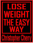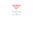# **LOSE WEIGHT THE EASY WAY**

By

Christopher Cherry

*E* 

Strategic Book Publishing & Rights Co.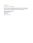Copyright © 2014

All rights reserved – Christopher Cherry

No part of this book may be reproduced or transmitted in any form or by any means, graphic, electronic, or mechanical, including photocopying, recording, taping, or by any information storage retrieval system, without the permission, in writing, from the publisher.

Strategic Book Publishing and Rights Co. 12620 FM 1960, Suite A4-507 Houston, TX 77065 www.sbpra.com

ISBN: 978-1-63135-079-5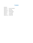### **Contents**

### Introduction

- Chapter One …. Your Own Limitations
- Chapter Two …. Team Work
- Chapter Three …. Earnest Desires
- Chapter Four … Emotional Images.
- Chapter Five …. Love Yourself
- Chapter Six …. Good Morning
- Chapter Seven … In Other Words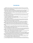### **Introduction.**

Regardless of how much you currently weigh, male or female, wherever you are located, irrespective of many other things too, if you follow the instructions, tips and hints given in this ebook, you will lose weight, guaranteed.

Hitched up to a very powerful mechanism, which is based on a known scientific premise, this method of losing weight has no downside and is a perfectly natural way to lose weight.

But you have to be sincere to achieve your desired body weight with this method. You have to be earnest in your desire to lose weight. You have to really mean it. Only then will the underlying mechanism work.

You cannot fool this mechanism, its no good being half-hearted and insincere in your desire to lose weight. As I have just said, you have to really want to do it, and you really have to be sincere and in earnest, for it to work.

So make that commitment now, then it will work. OR, postpone it until you are more ready to make your commitment to reduce your body weight.

Be honest with yourself, is it the right time to do it now, or is it better to wait before you WANT to make that commitment.

If you ARE sincere, and you ARE in earnest and you DO carry out the given instructions, and you DO adopt the tips and hints, then the mechanism described herein will work and you will not be able to stop it from working, once it has started.

Maybe you have tried other remedies, maybe you are all too familiar with weight loss programs, plans, diets and exercise related weight loss ideas, all those calorie controlled diets and those nutrition tables that tell you what is good to eat and what is bad for your body.

You probably know much more than me about things like body toxins, the metabolism, digestion, waste processes and how the body deals with food and also how the body handles fat products.

I hope that you have run into all these things, that's good, because it means that you have really tried to reduce your weight in the past, and of course you will have gained an enormous amount of knowledge about such things on the way.

If that is the situation with you, then it also means that you have done your apprenticeship so to speak, you have been there, you know the score, you have been through the mill as they say. It probably cost a lot of money too, but you must surely be a lot wiser from it all.

There is a chapter in this ebook about loving yourself. This method can work without loving yourself but it works a million times better if you DO love yourself.

Did you know that we are designed to love ourselves, its nature's way of protecting us.

So for many overweight people that hate themselves because of their body weight, there must be an attitude adjustment about how they think of themselves, to get the best out of this method. Loving yourself will make this method work really well, because then the person is in harmony and that is very important if you want to get the most out of this method.

You have taken the trouble to try to help yourself to reduce your body weight, that's good, and it is my hope that this method will help you achieve that.

We are all individuals, and we are all beautiful, inside and out, we are human beings, we have intense feelings and emotions, we have an enormous amount of love to give to one another,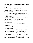### but hear this, **I want you to forget others when you read this ebook, because this ebook is about YOU.**

Now its time to take care of **YOU**, because now its all about **YOU**, no one else, and with this special knowledge inside these pages, it will be quite possible for you to achieve your desired body weight.

#### **When you achieve your desired body weight, what will you feel like.**

Will you jump out of bed in the mornings, will you smile when your having breakfast, will you look wisely at overweight people you see during the day, will you count your blessings each evening, will you be much happier, will you be joyful, will you be proud of yourself for achieving your desired body weight.

It is **VERY IMPORTANT** to start thinking about all that.

It is also very important to get your mind ready for when all this will begin to happen.

All these things will be coming your way soon, so get your mind ready for it all and I encourage you to think, frequently and often, every day, ten times a day, about what its going to be like when you do achieve your desired body weight.

ALL the above is necessary for this method to work, every single word of it, so we are talking about an attitude adjustment here.

You are halfway there already, because you had the intelligence to obtain this ebook, and I bet you have the brains to put it all into practice and get to your desired body weight using the method outlined here.

That means that you have the resolve, the firm resolve to do something about your current weight situation, and **I KNOW** the method described here will assist you in achieving your desired body weight.

It is quite achievable, have no doubts about that, **IT WORKS**, and you have been lucky enough to come across this method.

Enjoy this ebook, follow its instruction, keep a daily record of your progress **AND ENJOY ACHIEVING YOUR DESIRED BODY WEIGHT.** 

We will now continue with this Introduction, which very much concerns weight loss, as you will see, so hear me out.

I had followed the directions given to me, tall grey building near the corner, 6th floor, turn right and you will see a door marked, 'Office of the Newly Dead'. I went in, gave my name to the receptionist and sat down on quite a comfortable sofa in front of a table full of glossy magazines, newspapers and supplements.

As I looked quickly through one of the glossy magazines, I had a quick look at the person sitting opposite me. Certainly an odd creature, his eyes were very close together and my gut feelings seemed to be telling me that this person would be well worth avoiding.

I relied a lot on my gut feelings, and although I just could not put my finger on why this person was worth avoiding, that is the feeling I got about him. Perhaps 'close eyes' had another appointment to get to, because every couple of minutes or so, he looked at his wrist-watch to check the time.

As I glanced around the waiting room, I also took a quick look at the other person sitting in a big red leather armchair to my left. Obviously some rich dude from the business belt, I was quite impressed with the style of his very expensive looking shoes.

'Rich dude' was wearing a powder blue handmade suit, his stylish light brown shoes made him look very well dressed indeed. Probably an employee for some big company, I felt sure that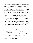'rich dude' had known every restaurant in town and probably hardly ever had needed to cook his own dinner.

Just at that moment, the inner door opened and a very overweight man called out, 'Mr Smith, can you come through now please'. As I got to my feet, I could not help noticing that 'close eyes', the person sitting opposite me and also 'rich dude' located to my left, were also getting to their feet.

As we all tried to get through the inner door together, we sort of looked at each other in slight confusion, although nobody had the guts to say anything. Strangely though, the over weight man that had called my name shook hands with all three of us and indicated a chair for each of us to sit around a very long, highly polished table.

After briefly glancing through the light blue folder that he was holding, he looked up at all three of us and said, 'You all know each other of course, so we will get straight to the business in hand'. The 'rich dude' like person looked at me and you could see the utter confusion on his face. 'Close eyes' also looked at me and it was plain that he was equally confused about the situation too.

It did not take the over weight man too long to realize that we did not in fact, know one another and when he had stopped smiling, he raised both hands and said 'Let me explain'. Turning to me, the over weight man said, 'Mr Smith, meet Mr Smith, your conscious mind, and pointed to the 'rich dude' like person.

No sooner had he said that when he added, 'Mr Smith, meet Mr Smith, your sub-conscious mind and pointed to 'close eyes' who was sitting at the far end of the table. Both 'rich dude' and 'close eyes' looked across at me and they both gave me a weak smile, then they both quickly looked away again.

There was an audible, long sigh as the over weight man rolled his eyes upwards and said to me, 'Your complete strangers to each other, yet you have shared the same body for the last fifty nine years'.

I just sat there staring at him, I had heard what he had said to me, he had said it so clearly. But he had also said it as though I was to blame for not knowing who the 'rich dude' or 'close eyes' were.

**Smiling once again, the over weight man said, 'It happens all the time, people go through their whole life-time, yet never get to know their conscious or sub-conscious mind, its amazing, it seems incredible, but it is a fact.** 

\* \* \*

This ebook is about instructing the subconscious mind.

This ebook is about how to tell the subconscious mind to reduce body weight.

Your subconscious mind is your best friend.

Your subconscious mind can get you anything you want, and that includes reducing your body weight. Follow the instructions in this ebook and you will reduce your body weight, quite easily.

In fact, it is such an effective method of weight control, you will not be able to stop the process, unless you re-configure your desire.

Don't laugh and don't think that you have been tricked, you have been lucky enough to come across a very, very powerful technique that will get you to your desired weight, EXACTLY, just as you want to be, using your subconscious mind.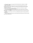The majority of people on this planet DO NOT KNOW HOW TO SPEAK TO THEIR SUBCONCIOUS MIND.

That's a fact, they just don't know how to do it, but this little ebook gives precise and detailed instructions on how to address your subconscious mind and get to the much desired weight that you want to be.

Its not a new idea by any means, people have adjusted and controlled their weight for thousands of years using the subconscious mind.

It's just that this technique has sort of fell into disuse in these modern times, but make no mistake about it, **IT WORKS** so you haven't been tricked and you have not wasted your money or your time.

But before we get to that part, I want to say something about people who impose limitations on themselves.

The next chapter deals with that issue, and the chapter after that deals with LOVING yourself as previously mentioned here.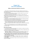## **Chapter One Your Own Limitations**

### **Millions of people impose limitations on themselves.**

Many people are told by others that they cannot expect to obtain this or that goal, many others impose their own limitations on themselves, thinking and believing that it is impossible to achieve their higher goals.

We all do it, we all put limitations on ourselves, some quite sensibly of course, but we all have other limitations that do not need to be there.

Obviously, we cannot all be a prime minister, or an astronaut, a rocket scientist or an Olympic athlete, these are goals that are, for most of us, unobtainable, and we accept that quite willingly because it is based in common sense.

But a lot of goals ARE within our capabilities, more especially those goals that pertain to our physical bodies.

Those goals can be aimed at through the subconscious mind, and ALL goals to do with our physical bodies, can be achieved through the subconscious mind.

This chapter tells you how to get rid of your self imposed limitations and instead learn how to overcome them because they will hold you back from getting to your desired body weight.

The term 'desired body weight' will be used over and over again in this ebook.

It refers to YOUR desired body weight, how much YOU want to weigh, okay.

You need to change your mind, to take on new ideas about how to achieve your desired body weight.

Get your conscious mind right, then you can start to address your subconscious mind.

So let your conscious mind absorb this next section which will help you to obtain your desired body weight.

#### **Know what you WANT**

Your subconscious mind will always obtain what it is focused on. So make sure you always focus on what you want, which is to be slimmer.

Find some actual pictures or photos of slim people and look at them (or imagine them in your mind) as often as possible throughout your waking hours.

These days, it is quite easy to superimpose your own face onto a picture of a slimmer body. **THAT WILL WORK**, you are showing your subconscious mind what to aim for.

Your subconscious mind does not know the difference between a real and imagined event,

### **so it will actually go about attracting the content of the picture, into your life.**

**Did you hear that**, your subconscious mind will automatically start to attract those images of slimmer people INTO YOUR LIFE.

**Try to experience the Feelings you will get when you have reached your desired weight.** 

It is the feelings that being slimmer will give you that are the main reason you want to be slimmer in the first place.